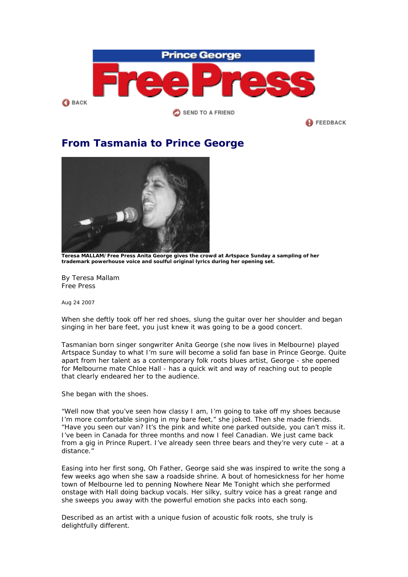

**FEEDBACK** 

## **From Tasmania to Prince George**



**Teresa MALLAM/Free Press Anita George gives the crowd at Artspace Sunday a sampling of her trademark powerhouse voice and soulful original lyrics during her opening set.** 

By Teresa Mallam Free Press

*Aug 24 2007* 

When she deftly took off her red shoes, slung the guitar over her shoulder and began singing in her bare feet, you just knew it was going to be a good concert.

Tasmanian born singer songwriter Anita George (she now lives in Melbourne) played Artspace Sunday to what I'm sure will become a solid fan base in Prince George. Quite apart from her talent as a contemporary folk roots blues artist, George - she opened for Melbourne mate Chloe Hall - has a quick wit and way of reaching out to people that clearly endeared her to the audience.

She began with the shoes.

"Well now that you've seen how classy I am, I'm going to take off my shoes because I'm more comfortable singing in my bare feet," she joked. Then she made friends. "Have you seen our van? It's the pink and white one parked outside, you can't miss it. I've been in Canada for three months and now I feel Canadian. We just came back from a gig in Prince Rupert. I've already seen three bears and they're very cute – at a distance."

Easing into her first song, Oh Father, George said she was inspired to write the song a few weeks ago when she saw a roadside shrine. A bout of homesickness for her home town of Melbourne led to penning Nowhere Near Me Tonight which she performed onstage with Hall doing backup vocals. Her silky, sultry voice has a great range and she sweeps you away with the powerful emotion she packs into each song.

Described as an artist with a unique fusion of acoustic folk roots, she truly is delightfully different.